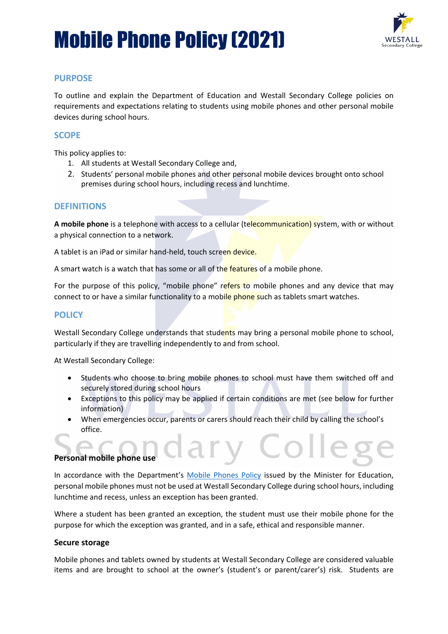# Mobile Phone Policy (2021)



### **PURPOSE**

To outline and explain the Department of Education and Westall Secondary College policies on requirements and expectations relating to students using mobile phones and other personal mobile devices during school hours.

#### **SCOPE**

This policy applies to:

- 1. All students at Westall Secondary College and,
- 2. Students' personal mobile phones and other personal mobile devices brought onto school premises during school hours, including recess and lunchtime.

#### **DEFINITIONS**

**A mobile phone** is a telephone with access to a cellular (telecommunication) system, with or without a physical connection to a network.

A tablet is an iPad or similar hand-held, touch screen device.

A smart watch is a watch that has some or all of the features of a mobile phone.

For the purpose of this policy, "mobile phone" refers to mobile phones and any device that may connect to or have a similar functionality to a mobile phone such as tablets smart watches.

#### **POLICY**

Westall Secondary College understands that students may bring a personal mobile phone to school, particularly if they are travelling independently to and from school.

At Westall Secondary College:

- Students who choose to bring mobile phones to school must have them switched off and securely stored during school hours
- Exceptions to this policy may be applied if certain conditions are met (see below for further information)
- When emergencies occur, parents or carers should reach their child by calling the school's office.

#### **Personal mobile phone use**

In accordance with the Department's [Mobile Phones Policy](https://www.education.vic.gov.au/school/principals/spag/safety/Pages/mobilephones.aspx) issued by the Minister for Education, personal mobile phones must not be used at Westall Secondary College during school hours, including lunchtime and recess, unless an exception has been granted.

Where a student has been granted an exception, the student must use their mobile phone for the purpose for which the exception was granted, and in a safe, ethical and responsible manner.

#### **Secure storage**

Mobile phones and tablets owned by students at Westall Secondary College are considered valuable items and are brought to school at the owner's (student's or parent/carer's) risk. Students are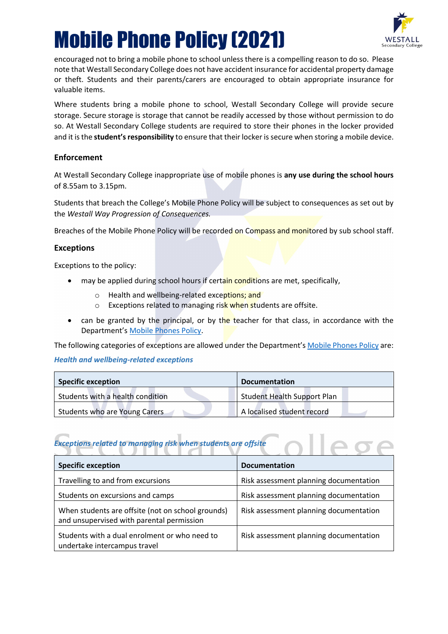# Mobile Phone Policy (2021)



encouraged not to bring a mobile phone to school unless there is a compelling reason to do so. Please note that Westall Secondary College does not have accident insurance for accidental property damage or theft. Students and their parents/carers are encouraged to obtain appropriate insurance for valuable items.

Where students bring a mobile phone to school, Westall Secondary College will provide secure storage. Secure storage is storage that cannot be readily accessed by those without permission to do so. At Westall Secondary College students are required to store their phones in the locker provided and it is the **student's responsibility** to ensure that their locker is secure when storing a mobile device.

#### **Enforcement**

At Westall Secondary College inappropriate use of mobile phones is **any use during the school hours** of 8.55am to 3.15pm.

Students that breach the College's Mobile Phone Policy will be subject to consequences as set out by the *Westall Way Progression of Consequences.*

Breaches of the Mobile Phone Policy will be recorded on Compass and monitored by sub school staff.

#### **Exceptions**

Exceptions to the policy:

- may be applied during school hours if certain conditions are met, specifically,
	- o Health and wellbeing-related exceptions; and
	- o Exceptions related to managing risk when students are offsite.
- can be granted by the principal, or by the teacher for that class, in accordance with the Department's [Mobile Phones Policy.](https://www.education.vic.gov.au/school/principals/spag/safety/Pages/mobilephones.aspx)

The following categories of exceptions are allowed under the Department'[s Mobile Phones Policy](https://www.education.vic.gov.au/school/principals/spag/safety/Pages/mobilephones.aspx) are:

#### *Health and wellbeing-related exceptions*

| <b>Specific exception</b>        | <b>Documentation</b>               |
|----------------------------------|------------------------------------|
| Students with a health condition | <b>Student Health Support Plan</b> |
| Students who are Young Carers    | A localised student record         |

# **Exceptions related to managing risk when students are offsite**

| <b>Specific exception</b>                                                                      | <b>Documentation</b>                   |
|------------------------------------------------------------------------------------------------|----------------------------------------|
| Travelling to and from excursions                                                              | Risk assessment planning documentation |
| Students on excursions and camps                                                               | Risk assessment planning documentation |
| When students are offsite (not on school grounds)<br>and unsupervised with parental permission | Risk assessment planning documentation |
| Students with a dual enrolment or who need to<br>undertake intercampus travel                  | Risk assessment planning documentation |